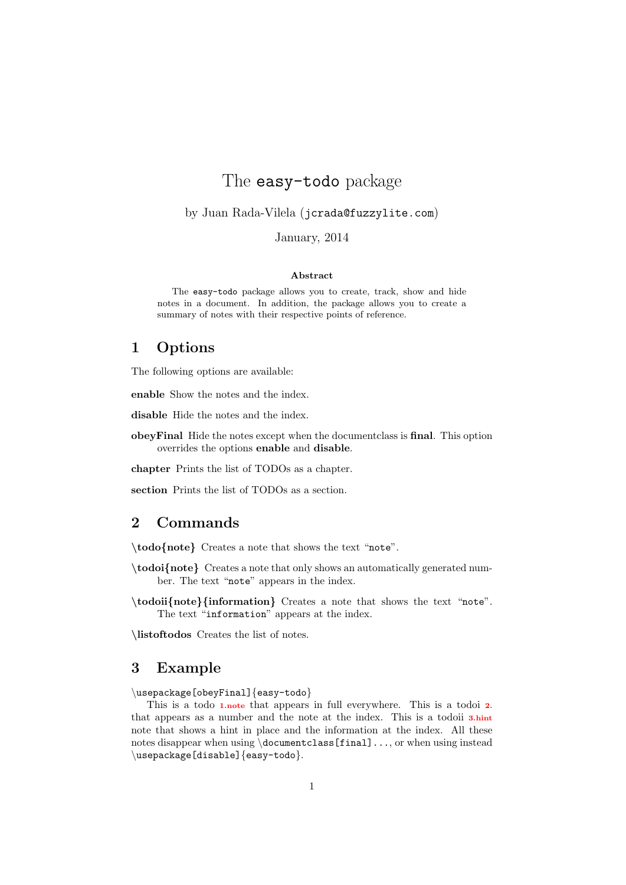# The easy-todo package

by Juan Rada-Vilela (jcrada@fuzzylite.com)

January, 2014

#### Abstract

The easy-todo package allows you to create, track, show and hide notes in a document. In addition, the package allows you to create a summary of notes with their respective points of reference.

### 1 Options

The following options are available:

enable Show the notes and the index.

disable Hide the notes and the index.

obeyFinal Hide the notes except when the documentclass is final. This option overrides the options enable and disable.

chapter Prints the list of TODOs as a chapter.

section Prints the list of TODOs as a section.

### 2 Commands

\todo{note} Creates a note that shows the text "note".

- \todoi{note} Creates a note that only shows an automatically generated number. The text "note" appears in the index.
- \todoii{note}{information} Creates a note that shows the text "note". The text "information" appears at the index.

\listoftodos Creates the list of notes.

#### 3 Example

\usepackage[obeyFinal]{easy-todo}

This is a todo 1.note that appears in full everywhere. This is a todoi 2. that appears as a number and the note at the index. This is a todoii 3.hint note that shows a hint in place and the information at the index. All these notes disappear when using \documentclass[final]..., or when using instead \usepackage[disable]{easy-todo}.